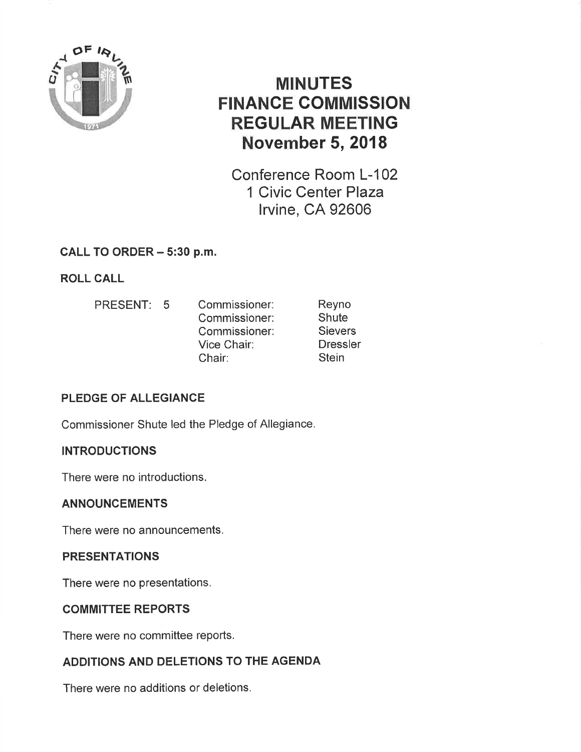

# MINUTES FINANCE GOMMISSION REGULAR MEETING November 5,2018

Conference Room L-102 1 Civic Center Plaza lrvine, CA 92606

### CALL TO ORDER - 5:30 p.m.

## ROLL CALL

PRESENT: 5 Commissioner: Commissioner: Commissioner: Vice Chair: Chair: Reyno **Shute Sievers** Dressler **Stein** 

## PLEDGE OF ALLEGIANCE

Commissioner Shute led the Pledge of Allegiance,

### **INTRODUCTIONS**

There were no introductions.

### ANNOUNCEMENTS

There were no announcements.

### **PRESENTATIONS**

There were no presentations,

### COMMITTEE REPORTS

There were no committee reports.

### ADDITIONS AND DELETIONS TO THE AGENDA

There were no additions or deletions.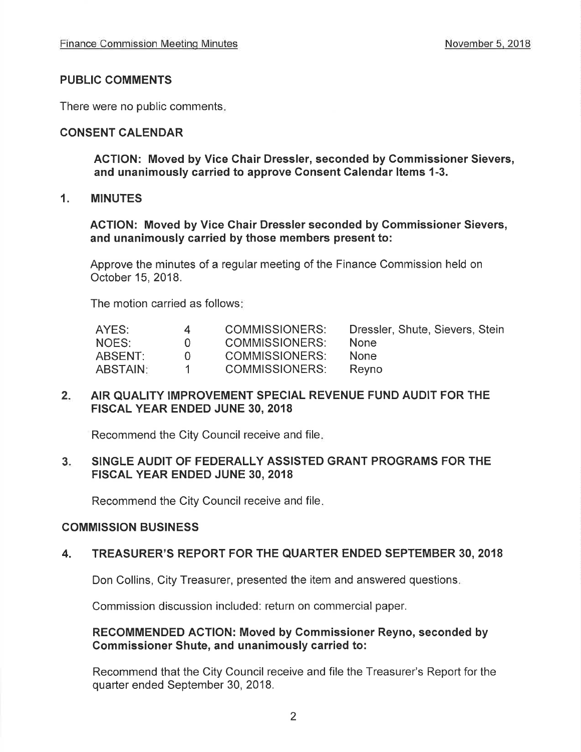### PUBLIC COMMENTS

There were no public comments

### CONSENT CALENDAR

ACTION: Moved by Vice Chair Dressler, seconded by Commissioner Sievers, and unanimously carried to approve Consent Calendar Items 1-3.

### 1. MINUTES

ACTION: Moved by Vice Ghair Dressler seconded by Commissioner Sievers, and unanimously carried by those members present to:

Approve the minutes of a regular meeting of the Finance Commission held on October 15,2018.

The motion carried as follows

| AYES:    | 4            | COMMISSIONERS: | Dressler, Shute, Sievers, Stein |
|----------|--------------|----------------|---------------------------------|
| NOES:    | $\mathbf{U}$ | COMMISSIONERS: | <b>None</b>                     |
| ABSENT:  | $\cup$       | COMMISSIONERS: | <b>None</b>                     |
| ABSTAIN: |              | COMMISSIONERS: | Revno                           |

#### $2.$ AIR QUALITY IMPROVEMENT SPECIAL REVENUE FUND AUDIT FOR THE FISCAL YEAR ENDED JUNE 30, 2018

Recommend the City Council receive and file

### 3 SINGLE AUDIT OF FEDERALLY ASSISTED GRANT PROGRAMS FOR THE FISCAL YEAR ENDED JUNE 30, 2018

Recommend the City Council receive and file

### COMMISSION BUSINESS

### 4. TREASURER'S REPORT FOR THE QUARTER ENDED SEPTEMBER 30, 2018

Don Collins, City Treasurer, presented the item and answered questions

Commission discussion included: return on commercial paper,

### RECOMMENDED AGTION: Moved by Commissioner Reyno, seconded by Commissioner Shute, and unanimously carried to:

Recommend that the City Council receive and file the Treasurer's Report for the quarter ended September 30, 2018.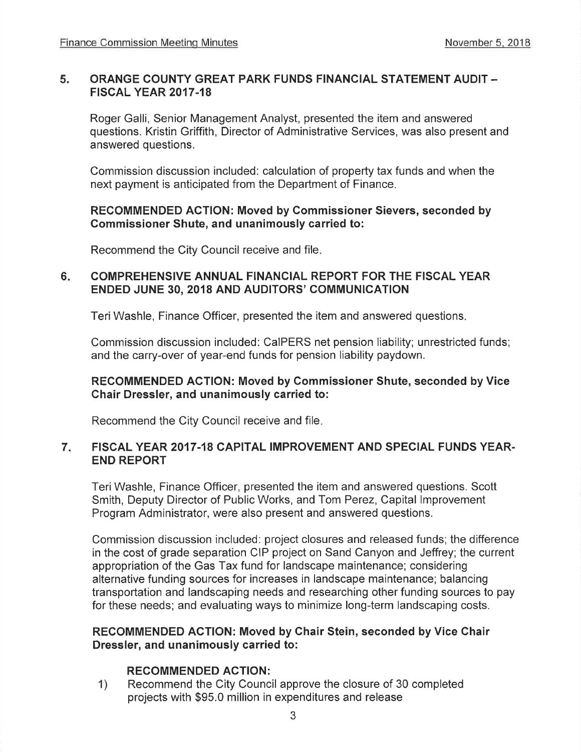#### 5 ORANGE COUNTY GREAT PARK FUNDS FINANCIAL STATEMENT AUDIT. FISCAL YEAR 2017.18

Roger Galli, Senior Management Analyst, presented the item and answered questions. Kristin Griffith, Director of Administrative Services, was also present and answered questions.

Commission discussion included: calculation of property tax funds and when the next payment is anticipated from the Department of Finance.

### RECOMMENDED ACTION: Moved by Commissioner Sievers, seconded by Commissioner Shute, and unanimously carried to:

Recommend the City Council receive and file

### COMPREHENSIVE ANNUAL FINANCIAL REPORT FOR THE FISCAL YEAR ENDED JUNE 30, 2018 AND AUDITORS' COMMUNICATION 6

Teri Washle, Finance Officer, presented the item and answered questions.

Commission discussion included: CaIPERS net pension liability; unrestricted funds; and the carry-over of year-end funds for pension liability paydown.

### RECOMMENDED ACTION: Moved by Gommissioner Shute, seconded by Vice Chair Dressler, and unanimously carried to:

Recommend the City Council receive and file

### FISCAL YEAR 2017.18 CAPITAL IMPROVEMENT AND SPECIAL FUNDS YEAR-END REPORT 7

TeriWashle, Finance Officer, presented the item and answered questions. Scott Smith, Deputy Director of Public Works, and Tom Perez, Capital lmprovement Program Administrator, were also present and answered questions.

Commission discussion included: project closures and released funds; the difference in the cost of grade separation CIP project on Sand Canyon and Jeffrey; the current appropriation of the Gas Tax fund for landscape maintenance; considering alternative funding sources for increases in landscape maintenance; balancing transportation and landscaping needs and researching other funding sources to pay for these needs; and evaluating ways to minimize long-term landscaping costs.

### RECOMMENDED ACTION: Moved by Chair Stein, seconded by Vice Ghair Dressler, and unanimously carried to:

RECOMMENDED ACTION:<br>1) Recommend the City Council approve the closure of 30 completed projects with \$95.0 million in expenditures and release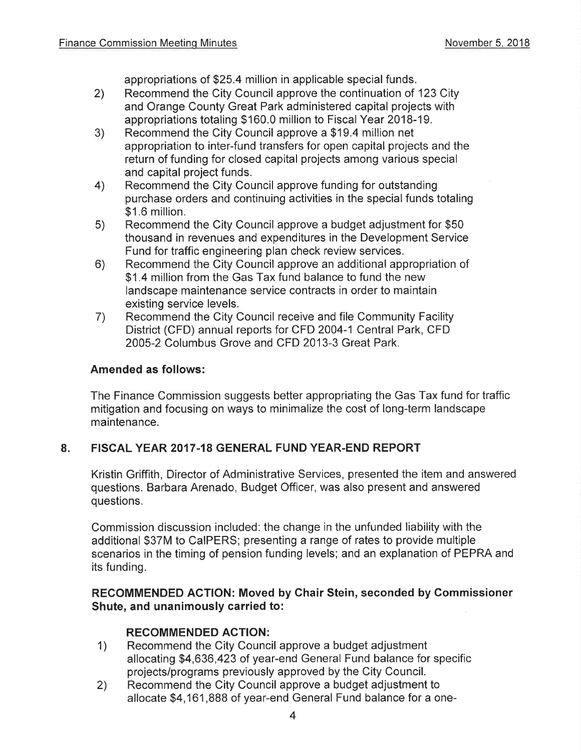appropriations of \$25.4 million in applicable special funds.

- 2) Recommend the City Council approve the continuation of 123 City and Orange County Great Park administered capital projects with appropriations totaling \$160.0 million to Fiscal Year 2018-19. 3) Recommend the City Council approve a \$19.4 million net
- appropriation to inter-fund transfers for open capital projects and the return of funding for closed capital projects among various special
- and capital project funds. 4) Recommend the City Council approve funding for outstanding purchase orders and continuing activities in the special funds totaling \$1.6 million.<br>5) Recommend the City Council approve a budget adjustment for \$50
- thousand in revenues and expenditures in the Development Service Fund for traffic engineering plan check review services. 6) Recommend the City Council approve an additional appropriation of
- \$1.4 million from the Gas Tax fund balance to fund the new landscape maintenance service contracts in order to maintain existing service levels.<br>
7) Recommend the City Council receive and file Community Facility
- District (CFD) annual reports for CFD 2004-1 Central Park, CFD 2005-2 Columbus Grove and CFD 2013-3 Great Park.

### Amended as follows:

The Finance Commission suggests better appropriating the Gas Tax fund for traffic mitigation and focusing on ways to minimalize the cost of long-term landscape maintenance.

### 8. FISCAL YEAR 2017.18 GENERAL FUND YEAR-END REPORT

Kristin Griffith, Director of Administrative Services, presented the item and answered questions. Barbara Arenado, Budget Officer, was also present and answered questions.

Commission discussion included: the change in the unfunded liability with the additional \$37M to CaIPERS; presenting a range of rates to provide multiple scenarios in the timing of pension funding levels; and an explanation of PEPRA and its funding,

### RECOMMENDED ACTION: Moved by Ghair Stein, seconded by Commissioner Shute, and unanimously carried to:

- RECOMMENDED ACTION:<br>1) Recommend the City Council approve a budget adjustment allocating \$4,636,423 of year-end General Fund balance for specific projects/programs previously approved by the City Council.
- 2) Recommend the City Council approve a budget adjustment to allocate \$4,161,888 of year-end General Fund balance for a one-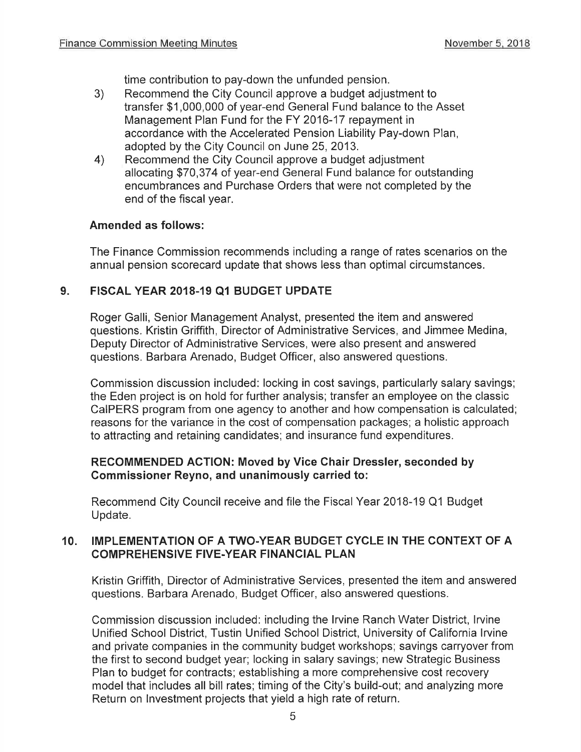time contribution to pay-down the unfunded pension.

- 3) Recommend the City Council approve a budget adjustment to transfer \$1,000,000 of year-end General Fund balance to the Asset Management Plan Fund for the FY 2016-17 repayment in accordance with the Accelerated Pension Liability Pay-down Plan, adopted by the City Council on June 25, 2013.
- 4) Recommend the City Council approve a budget adjustment allocating \$70,374 of year-end General Fund balance for outstanding encumbrances and Purchase Orders that were not completed by the end of the fiscal year.

### Amended as follows:

The Finance Commission recommends including a range of rates scenarios on the annual pension scorecard update that shows less than optimal circumstances.

### 9. FISCAL YEAR 2018-19 Q1 BUDGET UPDATE

Roger Galli, Senior Management Analyst, presented the item and answered questions. Kristin Griffith, Director of Administrative Services, and Jimmee Medina, Deputy Director of Administrative Services, were also present and answered questions. Barbara Arenado, Budget Officer, also answered questions.

Commission discussion included: locking in cost savings, particularly salary savings; the Eden project is on hold for further analysis; transfer an employee on the classic CaIPERS program from one agency to another and how compensation is calculated; reasons for the variance in the cost of compensation packages; a holistic approach to attracting and retaining candidates; and insurance fund expenditures.

### RECOMMENDED AGTION: Moved by Vice Chair Dressler, seconded by Gommissioner Reyno, and unanimously carried to:

Recommend City Council receive and file the Fiscal Year 2018-19 Q1 Budget Update.

### 10. IMPLEMENTATION OF A TWO-YEAR BUDGET CYCLE IN THE CONTEXT OF A COMPREHENSIVE FIVE.YEAR FINANCIAL PLAN

Kristin Griffith, Director of Administrative Services, presented the item and answered questions. Barbara Arenado, Budget Officer, also answered questions.

Commission discussion included: including the lrvine Ranch Water District, lrvine Unified School District, Tustin Unified School District, University of California lrvine and private companies in the community budget workshops; savings carryover from the first to second budget year; locking in salary savings; new Strategic Business Plan to budget for contracts; establishing a more comprehensive cost recovery model that includes all bill rates; timing of the City's build-out; and analyzing more Return on lnvestment projects that yield a high rate of return.